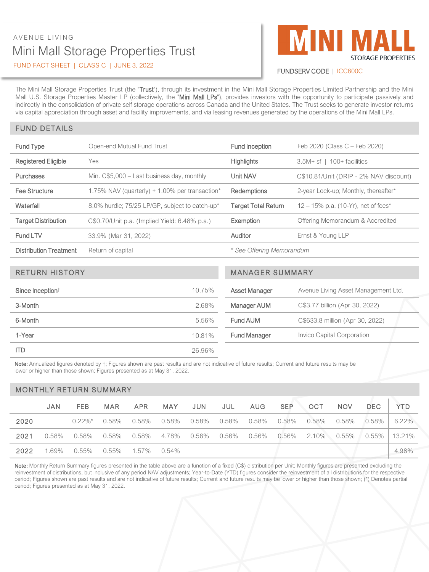# Mini Mall Storage Properties Trust AVENUE LIVING FUND FACT SHEET | CLASS C | JUNE 3, 2022



FUNDSERV CODE | ICC600C

The Mini Mall Storage Properties Trust (the "Trust"), through its investment in the Mini Mall Storage Properties Limited Partnership and the Mini Mall U.S. Storage Properties Master LP (collectively, the "Mini Mall LPs"), provides investors with the opportunity to participate passively and indirectly in the consolidation of private self storage operations across Canada and the United States. The Trust seeks to generate investor returns via capital appreciation through asset and facility improvements, and via leasing revenues generated by the operations of the Mini Mall LPs.

### FUND DETAILS

| <b>Fund Type</b>              | Open-end Mutual Fund Trust                       | <b>Fund Inception</b>     | Feb 2020 (Class C - Feb 2020)          |  |  |  |
|-------------------------------|--------------------------------------------------|---------------------------|----------------------------------------|--|--|--|
| <b>Registered Eligible</b>    | Yes                                              | <b>Highlights</b>         | 100+ facilities<br>$3.5M+$ sf I        |  |  |  |
| Purchases                     | Min. C\$5,000 - Last business day, monthly       | Unit NAV                  | C\$10.81/Unit (DRIP - 2% NAV discount) |  |  |  |
| Fee Structure                 | 1.75% NAV (quarterly) $+$ 1.00% per transaction* | <b>Redemptions</b>        | 2-year Lock-up; Monthly, thereafter*   |  |  |  |
| Waterfall                     | 8.0% hurdle; 75/25 LP/GP, subject to catch-up*   | Target Total Return       | 12 – 15% p.a. $(10-Yr)$ , net of fees* |  |  |  |
| <b>Target Distribution</b>    | C\$0.70/Unit p.a. (Implied Yield: 6.48% p.a.)    | Exemption                 | Offering Memorandum & Accredited       |  |  |  |
| Fund LTV                      | 33.9% (Mar 31, 2022)                             | Auditor                   | Ernst & Young LLP                      |  |  |  |
| <b>Distribution Treatment</b> | Return of capital                                | * See Offering Memorandum |                                        |  |  |  |

| <b>RETURN HISTORY</b>        |        | <b>MANAGER SUMMARY</b> |                                     |  |  |  |
|------------------------------|--------|------------------------|-------------------------------------|--|--|--|
| Since Inception <sup>†</sup> | 10.75% | Asset Manager          | Avenue Living Asset Management Ltd. |  |  |  |
| 3-Month                      | 2.68%  | <b>Manager AUM</b>     | C\$3.77 billion (Apr 30, 2022)      |  |  |  |
| 6-Month                      | 5.56%  | Fund AUM               | C\$633.8 million (Apr 30, 2022)     |  |  |  |
| 1-Year                       | 10.81% | <b>Fund Manager</b>    | Invico Capital Corporation          |  |  |  |
| <b>ITD</b>                   | 26.96% |                        |                                     |  |  |  |

Note: Annualized figures denoted by  $\dagger$ ; Figures shown are past results and are not indicative of future results; Current and future results may be lower or higher than those shown; Figures presented as at May 31, 2022.

|      | <b>JAN</b> | <b>FEB</b> | MAR   | <b>APR</b> | MAY   | JUN   | JUL   | AUG   | SEP   | OCT   | <b>NOV</b> | DEC.  | <b>YTD</b> |
|------|------------|------------|-------|------------|-------|-------|-------|-------|-------|-------|------------|-------|------------|
| 2020 |            | $0.22\%$ * | 0.58% | 0.58%      | 0.58% | 0.58% | 0.58% | 0.58% | 0.58% | 0.58% | 0.58%      | 0.58% | $6.22\%$   |
| 2021 | 0.58%      | 0.58%      | 0.58% | 0.58%      | 4.78% | 0.56% | 0.56% | 0.56% | 0.56% | 2.10% | 0.55%      | 0.55% | 13.21%     |
| 2022 | 1.69%      | 0.55%      | 0.55% | 1.57%      | 0.54% |       |       |       |       |       |            |       | 4.98%      |

Note: Monthly Return Summary figures presented in the table above are a function of a fixed (C\$) distribution per Unit; Monthly figures are presented excluding the reinvestment of distributions, but inclusive of any period NAV adjustments; Year-to-Date (YTD) figures consider the reinvestment of all distributions for the respective period; Figures shown are past results and are not indicative of future results; Current and future results may be lower or higher than those shown; (\*) Denotes partial period; Figures presented as at May 31, 2022.

## MONTHLY RETURN SUMMARY